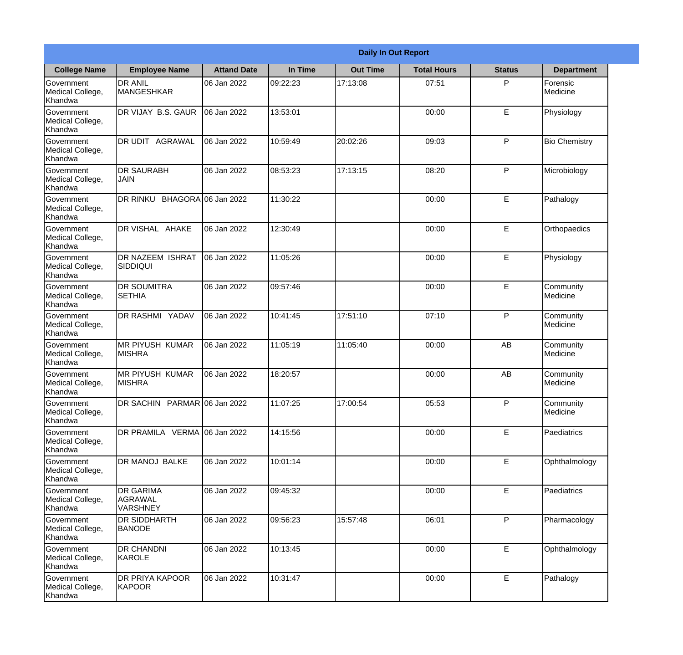| <b>Daily In Out Report</b>                       |                                                |                     |          |                 |                    |               |                       |
|--------------------------------------------------|------------------------------------------------|---------------------|----------|-----------------|--------------------|---------------|-----------------------|
| <b>College Name</b>                              | <b>Employee Name</b>                           | <b>Attand Date</b>  | In Time  | <b>Out Time</b> | <b>Total Hours</b> | <b>Status</b> | <b>Department</b>     |
| Government<br>Medical College,<br>Khandwa        | <b>DR ANIL</b><br><b>MANGESHKAR</b>            | 06 Jan 2022         | 09:22:23 | 17:13:08        | 07:51              | P             | Forensic<br>Medicine  |
| Government<br>Medical College,<br>Khandwa        | DR VIJAY B.S. GAUR                             | 06 Jan 2022         | 13:53:01 |                 | 00:00              | E             | Physiology            |
| <b>Government</b><br>Medical College,<br>Khandwa | <b>IDR UDIT AGRAWAL</b>                        | 06 Jan 2022         | 10:59:49 | 20:02:26        | 09:03              | P             | <b>Bio Chemistry</b>  |
| Government<br>Medical College,<br>Khandwa        | <b>IDR SAURABH</b><br><b>JAIN</b>              | 06 Jan 2022         | 08:53:23 | 17:13:15        | 08:20              | P             | Microbiology          |
| Government<br>Medical College,<br>Khandwa        | DR RINKU                                       | BHAGORA 06 Jan 2022 | 11:30:22 |                 | 00:00              | E             | Pathalogy             |
| Government<br>Medical College,<br>Khandwa        | DR VISHAL AHAKE                                | 06 Jan 2022         | 12:30:49 |                 | 00:00              | E             | Orthopaedics          |
| Government<br>Medical College,<br>Khandwa        | DR NAZEEM ISHRAT<br>SIDDIQUI                   | 06 Jan 2022         | 11:05:26 |                 | 00:00              | E             | Physiology            |
| Government<br>Medical College,<br>Khandwa        | <b>DR SOUMITRA</b><br><b>SETHIA</b>            | 06 Jan 2022         | 09:57:46 |                 | 00:00              | E             | Community<br>Medicine |
| Government<br>Medical College,<br>Khandwa        | <b>DR RASHMI YADAV</b>                         | 06 Jan 2022         | 10:41:45 | 17:51:10        | 07:10              | P             | Community<br>Medicine |
| Government<br>Medical College,<br>Khandwa        | <b>MR PIYUSH KUMAR</b><br><b>MISHRA</b>        | 06 Jan 2022         | 11:05:19 | 11:05:40        | 00:00              | AB            | Community<br>Medicine |
| Government<br>Medical College,<br>Khandwa        | IMR PIYUSH KUMAR<br><b>MISHRA</b>              | 06 Jan 2022         | 18:20:57 |                 | 00:00              | AB            | Community<br>Medicine |
| Government<br>Medical College,<br>Khandwa        | DR SACHIN PARMAR 06 Jan 2022                   |                     | 11:07:25 | 17:00:54        | 05:53              | P             | Community<br>Medicine |
| Government<br>Medical College,<br>Khandwa        | DR PRAMILA VERMA 06 Jan 2022                   |                     | 14:15:56 |                 | 00:00              | E             | Paediatrics           |
| Government<br>Medical College,<br>Khandwa        | DR MANOJ BALKE                                 | 06 Jan 2022         | 10:01:14 |                 | 00:00              | E             | Ophthalmology         |
| Government<br>Medical College,<br>Khandwa        | <b>DR GARIMA</b><br>AGRAWAL<br><b>VARSHNEY</b> | 06 Jan 2022         | 09:45:32 |                 | 00:00              | E             | Paediatrics           |
| Government<br>Medical College,<br>Khandwa        | <b>DR SIDDHARTH</b><br><b>BANODE</b>           | 06 Jan 2022         | 09:56:23 | 15:57:48        | 06:01              | P             | Pharmacology          |
| Government<br>Medical College,<br>Khandwa        | <b>DR CHANDNI</b><br>KAROLE                    | 06 Jan 2022         | 10:13:45 |                 | 00:00              | E             | Ophthalmology         |
| Government<br>Medical College,<br>Khandwa        | <b>DR PRIYA KAPOOR</b><br>KAPOOR               | 06 Jan 2022         | 10:31:47 |                 | 00:00              | E             | Pathalogy             |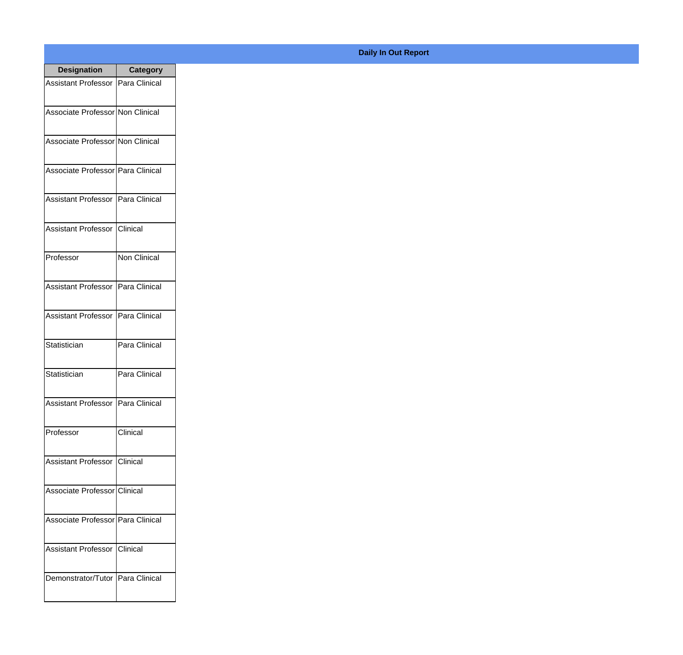| <b>Designation</b>                  | <b>Category</b>     |
|-------------------------------------|---------------------|
| <b>Assistant Professor</b>          | Para Clinical       |
| Associate Professor Non Clinical    |                     |
| Associate Professor Non Clinical    |                     |
| Associate Professor   Para Clinical |                     |
| <b>Assistant Professor</b>          | Para Clinical       |
| <b>Assistant Professor</b>          | <b>Clinical</b>     |
| Professor                           | <b>Non Clinical</b> |
| <b>Assistant Professor</b>          | Para Clinical       |
| <b>Assistant Professor</b>          | Para Clinical       |
| Statistician                        | Para Clinical       |
| Statistician                        | Para Clinical       |
| Assistant Professor   Para Clinical |                     |
| Professor                           | Clinical            |
| Assistant Professor   Clinical      |                     |
| Associate Professor Clinical        |                     |
| Associate Professor   Para Clinical |                     |
| <b>Assistant Professor</b>          | <b>Clinical</b>     |
| Demonstrator/Tutor   Para Clinical  |                     |

## **Daily In Out Report**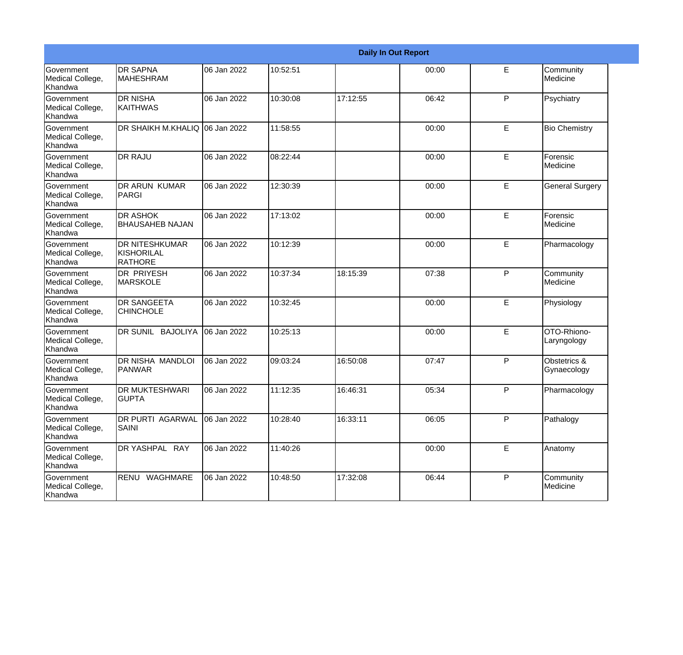| <b>Daily In Out Report</b>                       |                                                |             |          |          |       |    |                             |
|--------------------------------------------------|------------------------------------------------|-------------|----------|----------|-------|----|-----------------------------|
| Government<br>Medical College,<br>Khandwa        | <b>DR SAPNA</b><br><b>MAHESHRAM</b>            | 06 Jan 2022 | 10:52:51 |          | 00:00 | E  | Community<br>Medicine       |
| Government<br>Medical College,<br>Khandwa        | <b>DR NISHA</b><br>KAITHWAS                    | 06 Jan 2022 | 10:30:08 | 17:12:55 | 06:42 | P  | Psychiatry                  |
| <b>Government</b><br>Medical College,<br>Khandwa | DR SHAIKH M.KHALIQ 06 Jan 2022                 |             | 11:58:55 |          | 00:00 | E  | <b>Bio Chemistry</b>        |
| Government<br>Medical College,<br>Khandwa        | <b>DR RAJU</b>                                 | 06 Jan 2022 | 08:22:44 |          | 00:00 | E  | Forensic<br>Medicine        |
| Government<br>Medical College,<br>Khandwa        | <b>DR ARUN KUMAR</b><br>PARGI                  | 06 Jan 2022 | 12:30:39 |          | 00:00 | E  | <b>General Surgery</b>      |
| Government<br>Medical College,<br>Khandwa        | <b>DR ASHOK</b><br><b>BHAUSAHEB NAJAN</b>      | 06 Jan 2022 | 17:13:02 |          | 00:00 | E  | Forensic<br>Medicine        |
| Government<br>Medical College,<br>Khandwa        | <b>DR NITESHKUMAR</b><br>KISHORILAL<br>RATHORE | 06 Jan 2022 | 10:12:39 |          | 00:00 | E  | Pharmacology                |
| Government<br>Medical College,<br>Khandwa        | <b>DR PRIYESH</b><br>MARSKOLE                  | 06 Jan 2022 | 10:37:34 | 18:15:39 | 07:38 | P  | Community<br>Medicine       |
| Government<br>Medical College,<br>Khandwa        | <b>DR SANGEETA</b><br><b>CHINCHOLE</b>         | 06 Jan 2022 | 10:32:45 |          | 00:00 | E  | Physiology                  |
| Government<br>Medical College,<br>Khandwa        | DR SUNIL BAJOLIYA                              | 06 Jan 2022 | 10:25:13 |          | 00:00 | E  | OTO-Rhiono-<br>Laryngology  |
| <b>Government</b><br>Medical College,<br>Khandwa | <b>IDR NISHA MANDLOI</b><br><b>PANWAR</b>      | 06 Jan 2022 | 09:03:24 | 16:50:08 | 07:47 | P  | Obstetrics &<br>Gynaecology |
| Government<br>Medical College,<br>Khandwa        | <b>DR MUKTESHWARI</b><br><b>GUPTA</b>          | 06 Jan 2022 | 11:12:35 | 16:46:31 | 05:34 | P  | Pharmacology                |
| Government<br>Medical College,<br>Khandwa        | <b>DR PURTI AGARWAL</b><br><b>SAINI</b>        | 06 Jan 2022 | 10:28:40 | 16:33:11 | 06:05 | P  | Pathalogy                   |
| Government<br>Medical College,<br>Khandwa        | DR YASHPAL RAY                                 | 06 Jan 2022 | 11:40:26 |          | 00:00 | E. | Anatomy                     |
| Government<br>Medical College,<br>Khandwa        | RENU WAGHMARE                                  | 06 Jan 2022 | 10:48:50 | 17:32:08 | 06:44 | P  | Community<br>Medicine       |